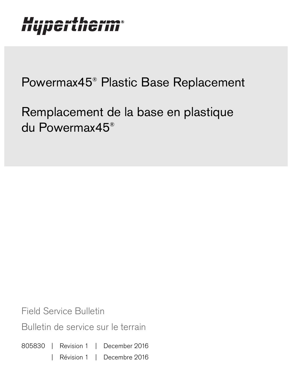# **Liumawihawm** IIY JUGI LIIGI

Powermax45® Plastic Base Replacement

Remplacement de la base en plastique du Powermax45®

Field Service Bulletin

Bulletin de service sur le terrain

805830 | Revision 1 | December 2016

| Révision 1 | Decembre 2016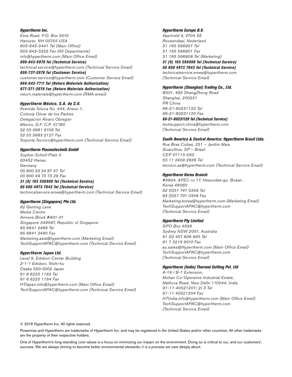### Hypertherm Inc.

Etna Road, P.O. Box 5010 Hanover, NH 03755 USA 603-643-3441 Tel (Main Office) 603-643-5352 Fax (All Departments) info@hypertherm.com (Main Office Email)

800-643-9878 Tel (Technical Service) technical.service@hypertherm.com (Technical Service Email) 800-737-2978 Tel (Customer Service)

customer.service@hypertherm.com (Customer Service Email)

866-643-7711 Tel (Return Materials Authorization) 877-371-2876 Fax (Return Materials Authorization) return.materials@hypertherm.com (RMA email)

### Hypertherm México, S.A. de C.V.

Avenida Toluca No. 444, Anexo 1, Colonia Olivar de los Padres Delegación Álvaro Obregón México, D.F. C.P. 01780 52 55 5681 8109 Tel 52 55 5683 2127 Fax Soporte.Tecnico@hypertherm.com (Technical Service Email)

### Hypertherm Plasmatechnik GmbH

Sophie-Scholl-Platz 5 63452 Hanau **Germany** 00 800 33 24 97 37 Tel 00 800 49 73 73 29 Fax

### 31 (0) 165 596900 Tel (Technical Service)

00 800 4973 7843 Tel (Technical Service) technicalservice.emea@hypertherm.com (Technical Service Email)

### Hypertherm (Singapore) Pte Ltd.

82 Genting Lane Media Centre Annexe Block #A01-01 Singapore 349567, Republic of Singapore 65 6841 2489 Tel 65 6841 2490 Fax Marketing.asia@hypertherm.com (Marketing Email) TechSupportAPAC@hypertherm.com (Technical Service Email)

#### Hypertherm Japan Ltd.

Level 9, Edobori Center Building 2-1-1 Edobori, Nishi-ku Osaka 550-0002 Japan 81 6 6225 1183 Tel 81 6 6225 1184 Fax HTJapan.info@hypertherm.com (Main Office Email) TechSupportAPAC@hypertherm.com (Technical Service Email)

### Hypertherm Europe B.V.

Vaartveld 9, 4704 SE Roosendaal, Nederland 31 165 596907 Tel 31 165 596901 Fax 31 165 596908 Tel (Marketing) 31 (0) 165 596900 Tel (Technical Service) 00 800 4973 7843 Tel (Technical Service)

technicalservice.emea@hypertherm.com (Technical Service Email)

#### Hypertherm (Shanghai) Trading Co., Ltd.

B301, 495 ShangZhong Road Shanghai, 200231 PR China 86-21-80231122 Tel 86-21-80231120 Fax

86-21-80231128 Tel (Technical Service) techsupport.china@hypertherm.com (Technical Service Email)

### South America & Central America: Hypertherm Brasil Ltda.

Rua Bras Cubas, 231 – Jardim Maia Guarulhos, SP – Brasil CEP 07115-030 55 11 2409 2636 Tel tecnico.sa@hypertherm.com (Technical Service Email)

#### Hypertherm Korea Branch

#3904. APEC-ro 17. Heaundae-gu. Busan. Korea 48060 82 (0)51 747 0358 Tel 82 (0)51 701 0358 Fax Marketing.korea@hypertherm.com (Marketing Email) TechSupportAPAC@hypertherm.com (Technical Service Email)

#### Hypertherm Pty Limited

GPO Box 4836 Sydney NSW 2001, Australia 61 (0) 437 606 995 Tel 61 7 3219 9010 Fax au.sales@Hypertherm.com (Main Office Email) TechSupportAPAC@hypertherm.com (Technical Service Email)

### Hypertherm (India) Thermal Cutting Pvt. Ltd

A-18 / B-1 Extension, Mohan Co-Operative Industrial Estate, Mathura Road, New Delhi 110044, India 91-11-40521201/ 2/ 3 Tel 91-11 40521204 Fax HTIndia.info@hypertherm.com (Main Office Email) TechSupportAPAC@hypertherm.com (Technical Service Email)

© 2016 Hypertherm Inc. All rights reserved.

Powermax and Hypertherm are trademarks of Hypertherm Inc. and may be registered in the United States and/or other countries. All other trademarks are the property of their respective holders.

One of Hypertherm's long-standing core values is a focus on minimizing our impact on the environment. Doing so is critical to our, and our customers', success. We are always striving to become better environmental stewards; it is a process we care deeply about.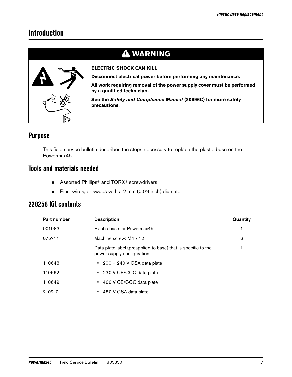## **Introduction**

# **WARNING**



### **ELECTRIC SHOCK CAN KILL**

**Disconnect electrical power before performing any maintenance.**

**All work requiring removal of the power supply cover must be performed by a qualified technician.**

**See the Safety and Compliance Manual (80996C) for more safety precautions.**

### **Purpose**

This field service bulletin describes the steps necessary to replace the plastic base on the Powermax45.

### **Tools and materials needed**

- Assorted Phillips<sup>®</sup> and TORX<sup>®</sup> screwdrivers
- Pins, wires, or swabs with a 2 mm (0.09 inch) diameter

### **228258 Kit contents**

| Part number | <b>Description</b>                                                                           | Quantity |
|-------------|----------------------------------------------------------------------------------------------|----------|
| 001983      | Plastic base for Powermax45                                                                  |          |
| 075711      | Machine screw: M4 x 12                                                                       | 6        |
|             | Data plate label (preapplied to base) that is specific to the<br>power supply configuration: |          |
| 110648      | $\cdot$ 200 – 240 V CSA data plate                                                           |          |
| 110662      | • 230 V CE/CCC data plate                                                                    |          |
| 110649      | • 400 V CE/CCC data plate                                                                    |          |
| 210210      | ■ 480 V CSA data plate                                                                       |          |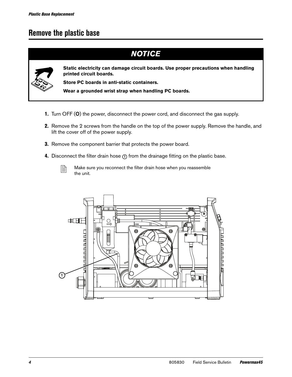# **Remove the plastic base**

# **NOTICE**



**Static electricity can damage circuit boards. Use proper precautions when handling printed circuit boards.**

**Store PC boards in anti-static containers.**

**Wear a grounded wrist strap when handling PC boards.**

- 1. Turn OFF (O) the power, disconnect the power cord, and disconnect the gas supply.
- 2. Remove the 2 screws from the handle on the top of the power supply. Remove the handle, and lift the cover off of the power supply.
- **3.** Remove the component barrier that protects the power board.
- **4.** Disconnect the filter drain hose  $\textcircled{1}$  from the drainage fitting on the plastic base.



 $\begin{bmatrix} \hline \hline \hline \hline \end{bmatrix}$  Make sure you reconnect the filter drain hose when you reassemble the unit.

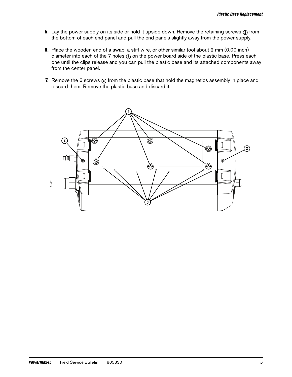- **5.** Lay the power supply on its side or hold it upside down. Remove the retaining screws  $@$  from the bottom of each end panel and pull the end panels slightly away from the power supply.
- **6.** Place the wooden end of a swab, a stiff wire, or other similar tool about 2 mm (0.09 inch) diameter into each of the 7 holes  $\circled{3}$  on the power board side of the plastic base. Press each one until the clips release and you can pull the plastic base and its attached components away from the center panel.
- **7.** Remove the 6 screws  $\textcircled{4}$  from the plastic base that hold the magnetics assembly in place and discard them. Remove the plastic base and discard it.

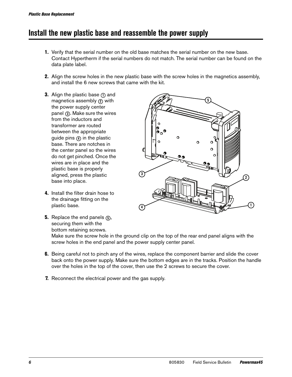## **Install the new plastic base and reassemble the power supply**

- 1. Verify that the serial number on the old base matches the serial number on the new base. Contact Hypertherm if the serial numbers do not match. The serial number can be found on the data plate label.
- 2. Align the screw holes in the new plastic base with the screw holes in the magnetics assembly, and install the 6 new screws that came with the kit.
- **3.** Align the plastic base  $\textcircled{1}$  and magnetics assembly  $@$  with the power supply center panel  $\circled{3}$ . Make sure the wires from the inductors and transformer are routed between the appropriate guide pins  $@$  in the plastic base. There are notches in the center panel so the wires do not get pinched. Once the wires are in place and the plastic base is properly aligned, press the plastic base into place.
- 4. Install the filter drain hose to the drainage fitting on the plastic base.
- **5.** Replace the end panels  $\circledA$ , securing them with the bottom retaining screws.

Make sure the screw hole in the ground clip on the top of the rear end panel aligns with the screw holes in the end panel and the power supply center panel.

- 6. Being careful not to pinch any of the wires, replace the component barrier and slide the cover back onto the power supply. Make sure the bottom edges are in the tracks. Position the handle over the holes in the top of the cover, then use the 2 screws to secure the cover.
- 7. Reconnect the electrical power and the gas supply.

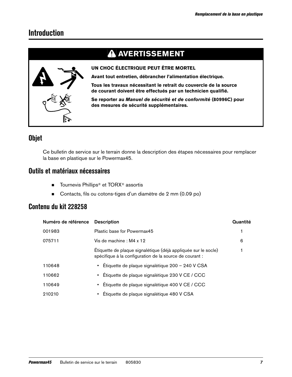## **Introduction**



# **AVERTISSEMENT**

**UN CHOC ÉLECTRIQUE PEUT ÊTRE MORTEL**

**Avant tout entretien, débrancher l'alimentation électrique.**

**Tous les travaux nécessitant le retrait du couvercle de la source de courant doivent être effectués par un technicien qualifié.**

**Se reporter au Manuel de sécurité et de conformité (80996C) pour des mesures de sécurité supplémentaires.**

## **Objet**

Ce bulletin de service sur le terrain donne la description des étapes nécessaires pour remplacer la base en plastique sur le Powermax45.

### **Outils et matériaux nécessaires**

- Tournevis Phillips<sup>®</sup> et TORX<sup>®</sup> assortis
- Contacts, fils ou cotons-tiges d'un diamètre de 2 mm (0.09 po)

### **Contenu du kit 228258**

| Numéro de référence | <b>Description</b>                                                                                                        | Quantité |
|---------------------|---------------------------------------------------------------------------------------------------------------------------|----------|
| 001983              | Plastic base for Powermax45                                                                                               |          |
| 075711              | Vis de machine : M4 x 12                                                                                                  | 6        |
|                     | Étiquette de plaque signalétique (déjà appliquée sur le socle)<br>spécifique à la configuration de la source de courant : |          |
| 110648              | Étiquette de plaque signalétique 200 – 240 V CSA                                                                          |          |
| 110662              | Étiquette de plaque signalétique 230 V CE / CCC                                                                           |          |
| 110649              | Étiquette de plaque signalétique 400 V CE / CCC                                                                           |          |
| 210210              | Étiquette de plaque signalétique 480 V CSA                                                                                |          |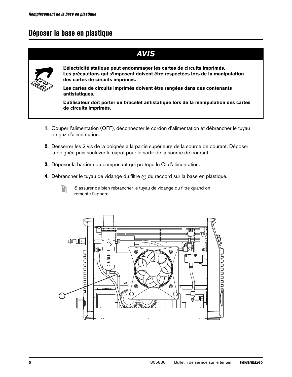# **Déposer la base en plastique**

## **AVIS**



**L'électricité statique peut endommager les cartes de circuits imprimés. Les précautions qui s'imposent doivent être respectées lors de la manipulation des cartes de circuits imprimés.**

**Les cartes de circuits imprimés doivent être rangées dans des contenants antistatiques.**

**L'utilisateur doit porter un bracelet antistatique lors de la manipulation des cartes de circuits imprimés.**

- 1. Couper l'alimentation (OFF), déconnecter le cordon d'alimentation et débrancher le tuyau de gaz d'alimentation.
- 2. Desserrer les 2 vis de la poignée à la partie supérieure de la source de courant. Déposer la poignée puis soulever le capot pour le sortir de la source de courant.
- 3. Déposer la barrière du composant qui protège le CI d'alimentation.
- **4.** Débrancher le tuyau de vidange du filtre  $\sigma$  du raccord sur la base en plastique.



 $\begin{bmatrix} \hline \ \hline \ \hline \ \hline \end{bmatrix}$  S'assurer de bien rebrancher le tuyau de vidange du filtre quand on remonte l'appareil.

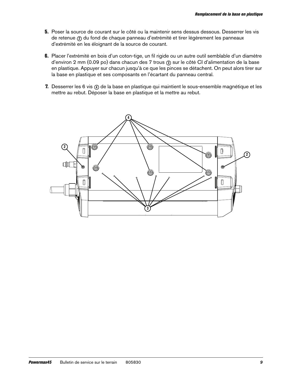- 5. Poser la source de courant sur le côté ou la maintenir sens dessus dessous. Desserrer les vis de retenue  $@$  du fond de chaque panneau d'extrémité et tirer légèrement les panneaux d'extrémité en les éloignant de la source de courant.
- 6. Placer l'extrémité en bois d'un coton-tige, un fil rigide ou un autre outil semblable d'un diamètre d'environ 2 mm (0.09 po) dans chacun des 7 trous ③ sur le côté CI d'alimentation de la base en plastique. Appuyer sur chacun jusqu'à ce que les pinces se détachent. On peut alors tirer sur la base en plastique et ses composants en l'écartant du panneau central.
- **7.** Desserrer les 6 vis @ de la base en plastique qui maintient le sous-ensemble magnétique et les mettre au rebut. Déposer la base en plastique et la mettre au rebut.